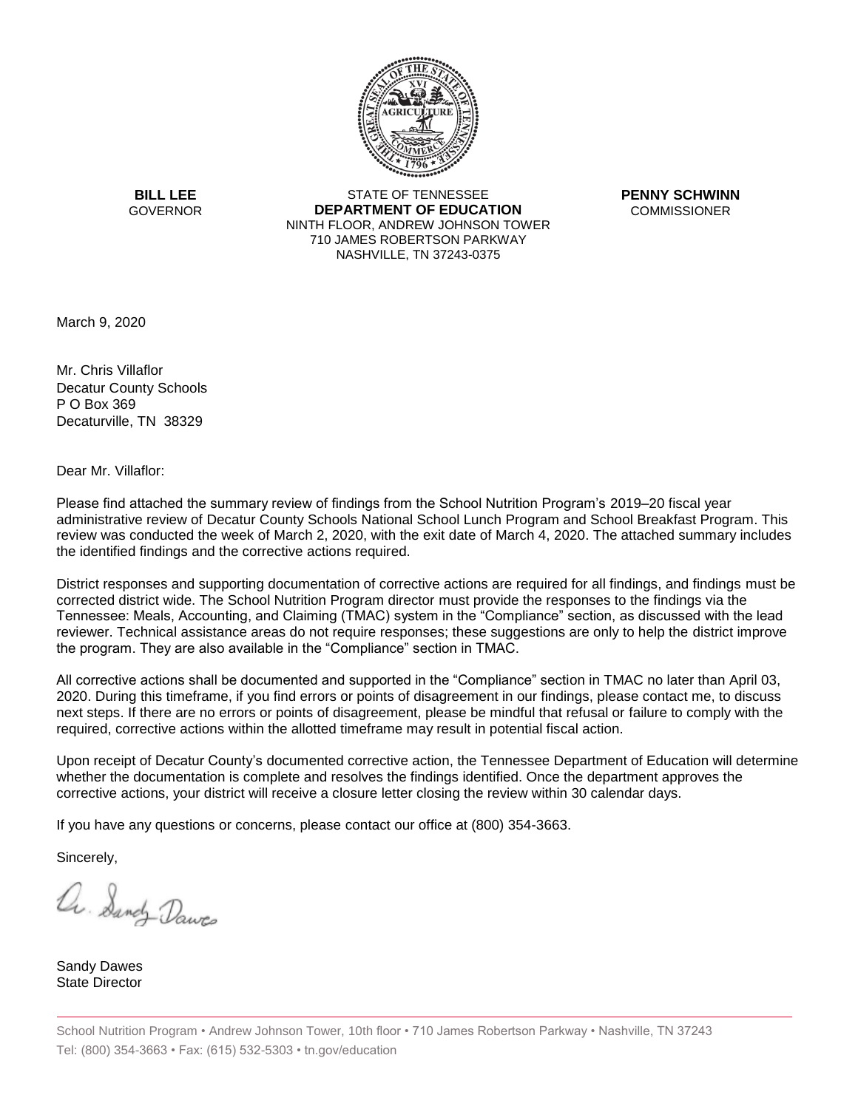

**BILL LEE GOVERNOR** 

STATE OF TENNESSEE **DEPARTMENT OF EDUCATION** NINTH FLOOR, ANDREW JOHNSON TOWER 710 JAMES ROBERTSON PARKWAY NASHVILLE, TN 37243-0375

**PENNY SCHWINN COMMISSIONER** 

March 9, 2020

Mr. Chris Villaflor Decatur County Schools P O Box 369 Decaturville, TN 38329

Dear Mr. Villaflor:

Please find attached the summary review of findings from the School Nutrition Program's 2019–20 fiscal year administrative review of Decatur County Schools National School Lunch Program and School Breakfast Program. This review was conducted the week of March 2, 2020, with the exit date of March 4, 2020. The attached summary includes the identified findings and the corrective actions required.

District responses and supporting documentation of corrective actions are required for all findings, and findings must be corrected district wide. The School Nutrition Program director must provide the responses to the findings via the Tennessee: Meals, Accounting, and Claiming (TMAC) system in the "Compliance" section, as discussed with the lead reviewer. Technical assistance areas do not require responses; these suggestions are only to help the district improve the program. They are also available in the "Compliance" section in TMAC.

All corrective actions shall be documented and supported in the "Compliance" section in TMAC no later than April 03, 2020. During this timeframe, if you find errors or points of disagreement in our findings, please contact me, to discuss next steps. If there are no errors or points of disagreement, please be mindful that refusal or failure to comply with the required, corrective actions within the allotted timeframe may result in potential fiscal action.

Upon receipt of Decatur County's documented corrective action, the Tennessee Department of Education will determine whether the documentation is complete and resolves the findings identified. Once the department approves the corrective actions, your district will receive a closure letter closing the review within 30 calendar days.

If you have any questions or concerns, please contact our office at (800) 354-3663.

Sincerely,

a. Sandy Daws

Sandy Dawes State Director